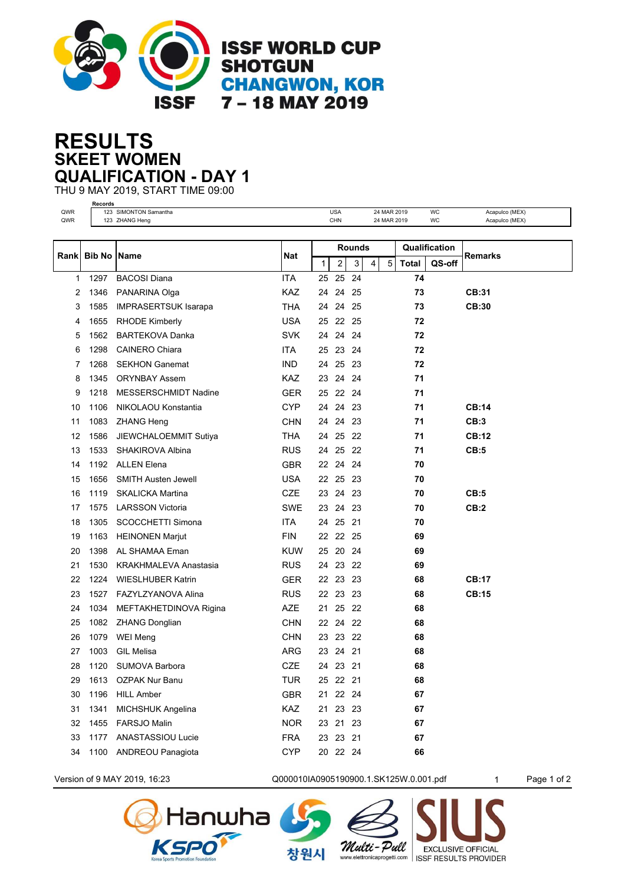

## **SKEET WOMEN RESULTS QUALIFICATION - DAY 1**

THU 9 MAY 2019, START TIME 09:00 **Records**

| QWR<br>QWR |               | 123 SIMONTON Samantha<br>123 ZHANG Heng |            |              | <b>USA</b><br>CHN |       |   | 24 MAR 2019<br>24 MAR 2019 |       | WC<br>WC      | Acapulco (MEX)<br>Acapulco (MEX) |
|------------|---------------|-----------------------------------------|------------|--------------|-------------------|-------|---|----------------------------|-------|---------------|----------------------------------|
|            |               |                                         |            |              |                   |       |   |                            |       |               |                                  |
|            |               | <b>Name</b>                             |            |              | <b>Rounds</b>     |       |   |                            |       | Qualification |                                  |
| Rank       | <b>Bib No</b> |                                         | <b>Nat</b> | $\mathbf{1}$ | 2                 | 3     | 4 | 5                          | Total | QS-off        | Remarks                          |
| 1          | 1297          | <b>BACOSI Diana</b>                     | <b>ITA</b> | 25           | 25                | 24    |   |                            | 74    |               |                                  |
| 2          | 1346          | PANARINA Olga                           | <b>KAZ</b> | 24           |                   | 24 25 |   |                            | 73    |               | CB:31                            |
| 3          | 1585          | <b>IMPRASERTSUK Isarapa</b>             | <b>THA</b> | 24           |                   | 24 25 |   |                            | 73    |               | CB:30                            |
| 4          | 1655          | <b>RHODE Kimberly</b>                   | USA        | 25           | 22 25             |       |   |                            | 72    |               |                                  |
| 5          | 1562          | <b>BARTEKOVA Danka</b>                  | <b>SVK</b> | 24           |                   | 24 24 |   |                            | 72    |               |                                  |
| 6          | 1298          | <b>CAINERO Chiara</b>                   | ITA        | 25           | 23 24             |       |   |                            | 72    |               |                                  |
| 7          | 1268          | <b>SEKHON Ganemat</b>                   | <b>IND</b> | 24           |                   | 25 23 |   |                            | 72    |               |                                  |
| 8          | 1345          | <b>ORYNBAY Assem</b>                    | <b>KAZ</b> | 23           |                   | 24 24 |   |                            | 71    |               |                                  |
| 9          | 1218          | MESSERSCHMIDT Nadine                    | <b>GER</b> | 25           | 22 24             |       |   |                            | 71    |               |                                  |
| 10         | 1106          | NIKOLAOU Konstantia                     | <b>CYP</b> | 24           |                   | 24 23 |   |                            | 71    |               | CB:14                            |
| 11         | 1083          | <b>ZHANG Heng</b>                       | <b>CHN</b> | 24           |                   | 24 23 |   |                            | 71    |               | CB:3                             |
| 12         | 1586          | JIEWCHALOEMMIT Sutiya                   | <b>THA</b> | 24           | 25                | -22   |   |                            | 71    |               | <b>CB:12</b>                     |
| 13         | 1533          | SHAKIROVA Albina                        | <b>RUS</b> | 24           | 25                | -22   |   |                            | 71    |               | CB:5                             |
| 14         | 1192          | <b>ALLEN Elena</b>                      | <b>GBR</b> | 22           | 24                | -24   |   |                            | 70    |               |                                  |
| 15         | 1656          | <b>SMITH Austen Jewell</b>              | <b>USA</b> | 22           | 25                | -23   |   |                            | 70    |               |                                  |
| 16         | 1119          | <b>SKALICKA Martina</b>                 | <b>CZE</b> | 23           |                   | 24 23 |   |                            | 70    |               | CB:5                             |
| 17         | 1575          | <b>LARSSON Victoria</b>                 | <b>SWE</b> | 23           | 24                | 23    |   |                            | 70    |               | CB:2                             |
| 18         | 1305          | SCOCCHETTI Simona                       | <b>ITA</b> | 24           | 25                | 21    |   |                            | 70    |               |                                  |
| 19         | 1163          | <b>HEINONEN Marjut</b>                  | <b>FIN</b> | 22           |                   | 22 25 |   |                            | 69    |               |                                  |
| 20         | 1398          | AL SHAMAA Eman                          | <b>KUW</b> | 25           | 20                | 24    |   |                            | 69    |               |                                  |
| 21         | 1530          | <b>KRAKHMALEVA Anastasia</b>            | <b>RUS</b> | 24           |                   | 23 22 |   |                            | 69    |               |                                  |
| 22         | 1224          | <b>WIESLHUBER Katrin</b>                | <b>GER</b> | 22           |                   | 23 23 |   |                            | 68    |               | CB:17                            |
| 23         | 1527          | FAZYLZYANOVA Alina                      | <b>RUS</b> | 22           |                   | 23 23 |   |                            | 68    |               | CB:15                            |
| 24         | 1034          | MEFTAKHETDINOVA Rigina                  | <b>AZE</b> | 21           |                   | 25 22 |   |                            | 68    |               |                                  |
| 25         | 1082          | <b>ZHANG Donglian</b>                   | <b>CHN</b> | 22           |                   | 24 22 |   |                            | 68    |               |                                  |
| 26         | 1079          | <b>WEI Meng</b>                         | <b>CHN</b> | 23           |                   | 23 22 |   |                            | 68    |               |                                  |
| 27         | 1003          | <b>GIL Melisa</b>                       | <b>ARG</b> | 23           | 24 21             |       |   |                            | 68    |               |                                  |
| 28         | 1120          | SUMOVA Barbora                          | <b>CZE</b> | 24           | 23 21             |       |   |                            | 68    |               |                                  |
| 29         | 1613          | <b>OZPAK Nur Banu</b>                   | <b>TUR</b> | 25           | 22 21             |       |   |                            | 68    |               |                                  |
| 30         | 1196          | <b>HILL Amber</b>                       | <b>GBR</b> | 21           |                   | 22 24 |   |                            | 67    |               |                                  |
| 31         | 1341          | MICHSHUK Angelina                       | <b>KAZ</b> | 21           |                   | 23 23 |   |                            | 67    |               |                                  |
| 32         | 1455          | <b>FARSJO Malin</b>                     | <b>NOR</b> | 23           |                   | 21 23 |   |                            | 67    |               |                                  |
| 33         | 1177          | ANASTASSIOU Lucie                       | <b>FRA</b> | 23           | 23 21             |       |   |                            | 67    |               |                                  |
| 34         | 1100          | <b>ANDREOU Panagiota</b>                | <b>CYP</b> | 20           | 22 24             |       |   |                            | 66    |               |                                  |



Version of 9 MAY 2019, 16:23 Q000010IA0905190900.1.SK125W.0.001.pdf 1 Page 1 of 2